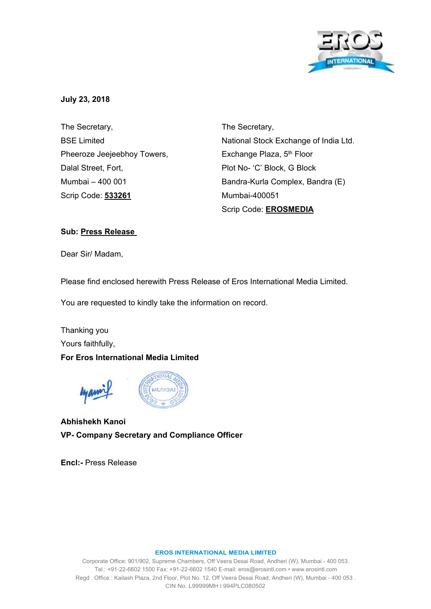

## **July 23, 2018**

The Secretary, BSE Limited Pheeroze Jeejeebhoy Towers, Dalal Street, Fort, Mumbai – 400 001 Scrip Code: **533261**

The Secretary, National Stock Exchange of India Ltd. Exchange Plaza, 5<sup>th</sup> Floor Plot No- 'C' Block, G Block Bandra-Kurla Complex, Bandra (E) Mumbai-400051 Scrip Code: **EROSMEDIA**

## **Sub: Press Release**

Dear Sir/ Madam,

Please find enclosed herewith Press Release of Eros International Media Limited.

You are requested to kindly take the information on record.

Thanking you Yours faithfully,

## **For Eros International Media Limited**



**Abhishekh Kanoi VP- Company Secretary and Compliance Officer** 

**Encl:-** Press Release

#### **EROS INTERNATIONAL MEDIA LIMITED**

Corporate Office: 901/902, Supreme Chambers, Off Veera Desai Road, Andheri (W), Mumbai - 400 053. Tel.: +91-22-6602 1500 Fax: +91-22-6602 1540 E-mail: eros@erosintl.com • www.erosintl.com Regd . Office : Kailash Plaza, 2nd Floor, Plot No. 12, Off Veera Desai Road, Andheri (W), Mumbai - 400 053 . CIN No. L99999MH l 994PLC080502